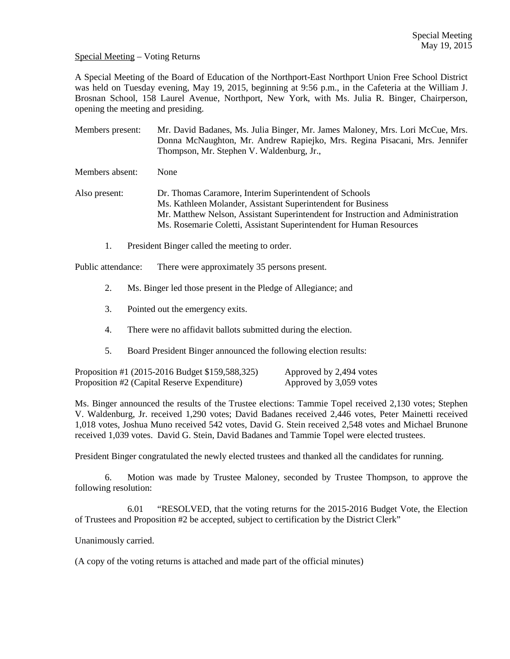## Special Meeting – Voting Returns

A Special Meeting of the Board of Education of the Northport-East Northport Union Free School District was held on Tuesday evening, May 19, 2015, beginning at 9:56 p.m., in the Cafeteria at the William J. Brosnan School, 158 Laurel Avenue, Northport, New York, with Ms. Julia R. Binger, Chairperson, opening the meeting and presiding.

Members present: Mr. David Badanes, Ms. Julia Binger, Mr. James Maloney, Mrs. Lori McCue, Mrs. Donna McNaughton, Mr. Andrew Rapiejko, Mrs. Regina Pisacani, Mrs. Jennifer Thompson, Mr. Stephen V. Waldenburg, Jr.,

Members absent: None

Also present: Dr. Thomas Caramore, Interim Superintendent of Schools Ms. Kathleen Molander, Assistant Superintendent for Business Mr. Matthew Nelson, Assistant Superintendent for Instruction and Administration Ms. Rosemarie Coletti, Assistant Superintendent for Human Resources

1. President Binger called the meeting to order.

Public attendance: There were approximately 35 persons present.

- 2. Ms. Binger led those present in the Pledge of Allegiance; and
- 3. Pointed out the emergency exits.
- 4. There were no affidavit ballots submitted during the election.
- 5. Board President Binger announced the following election results:

| Proposition #1 (2015-2016 Budget \$159,588,325) | Approved by 2,494 votes |
|-------------------------------------------------|-------------------------|
| Proposition #2 (Capital Reserve Expenditure)    | Approved by 3,059 votes |

Ms. Binger announced the results of the Trustee elections: Tammie Topel received 2,130 votes; Stephen V. Waldenburg, Jr. received 1,290 votes; David Badanes received 2,446 votes, Peter Mainetti received 1,018 votes, Joshua Muno received 542 votes, David G. Stein received 2,548 votes and Michael Brunone received 1,039 votes. David G. Stein, David Badanes and Tammie Topel were elected trustees.

President Binger congratulated the newly elected trustees and thanked all the candidates for running.

 6. Motion was made by Trustee Maloney, seconded by Trustee Thompson, to approve the following resolution:

 6.01 "RESOLVED, that the voting returns for the 2015-2016 Budget Vote, the Election of Trustees and Proposition #2 be accepted, subject to certification by the District Clerk"

Unanimously carried.

(A copy of the voting returns is attached and made part of the official minutes)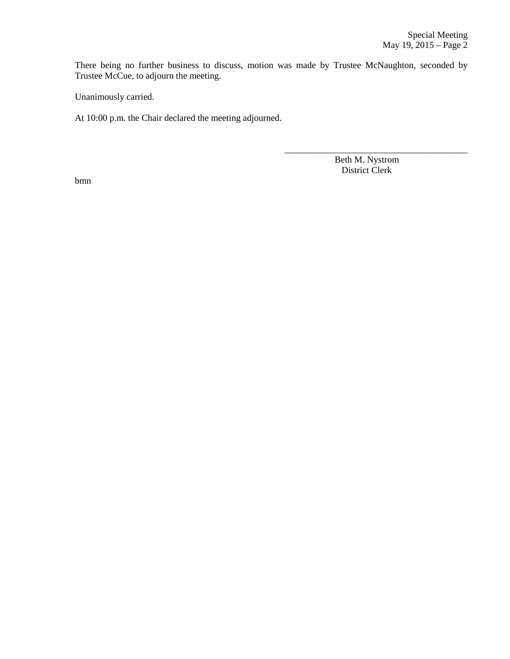There being no further business to discuss, motion was made by Trustee McNaughton, seconded by Trustee McCue, to adjourn the meeting.

 $\overline{\phantom{a}}$  , and the contract of the contract of the contract of the contract of the contract of the contract of the contract of the contract of the contract of the contract of the contract of the contract of the contrac

Unanimously carried.

At 10:00 p.m. the Chair declared the meeting adjourned.

 Beth M. Nystrom District Clerk

bmn